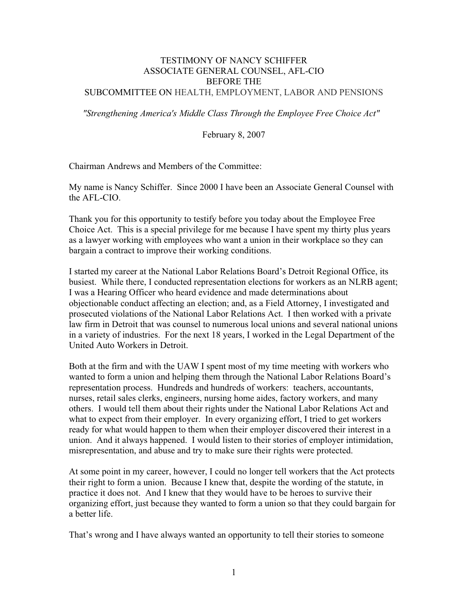## TESTIMONY OF NANCY SCHIFFER ASSOCIATE GENERAL COUNSEL, AFL-CIO BEFORE THE SUBCOMMITTEE ON HEALTH, EMPLOYMENT, LABOR AND PENSIONS

*"Strengthening America's Middle Class Through the Employee Free Choice Act"*

February 8, 2007

Chairman Andrews and Members of the Committee:

My name is Nancy Schiffer. Since 2000 I have been an Associate General Counsel with the AFL-CIO.

Thank you for this opportunity to testify before you today about the Employee Free Choice Act. This is a special privilege for me because I have spent my thirty plus years as a lawyer working with employees who want a union in their workplace so they can bargain a contract to improve their working conditions.

I started my career at the National Labor Relations Board's Detroit Regional Office, its busiest. While there, I conducted representation elections for workers as an NLRB agent; I was a Hearing Officer who heard evidence and made determinations about objectionable conduct affecting an election; and, as a Field Attorney, I investigated and prosecuted violations of the National Labor Relations Act. I then worked with a private law firm in Detroit that was counsel to numerous local unions and several national unions in a variety of industries. For the next 18 years, I worked in the Legal Department of the United Auto Workers in Detroit.

Both at the firm and with the UAW I spent most of my time meeting with workers who wanted to form a union and helping them through the National Labor Relations Board's representation process. Hundreds and hundreds of workers: teachers, accountants, nurses, retail sales clerks, engineers, nursing home aides, factory workers, and many others. I would tell them about their rights under the National Labor Relations Act and what to expect from their employer. In every organizing effort, I tried to get workers ready for what would happen to them when their employer discovered their interest in a union. And it always happened. I would listen to their stories of employer intimidation, misrepresentation, and abuse and try to make sure their rights were protected.

At some point in my career, however, I could no longer tell workers that the Act protects their right to form a union. Because I knew that, despite the wording of the statute, in practice it does not. And I knew that they would have to be heroes to survive their organizing effort, just because they wanted to form a union so that they could bargain for a better life.

That's wrong and I have always wanted an opportunity to tell their stories to someone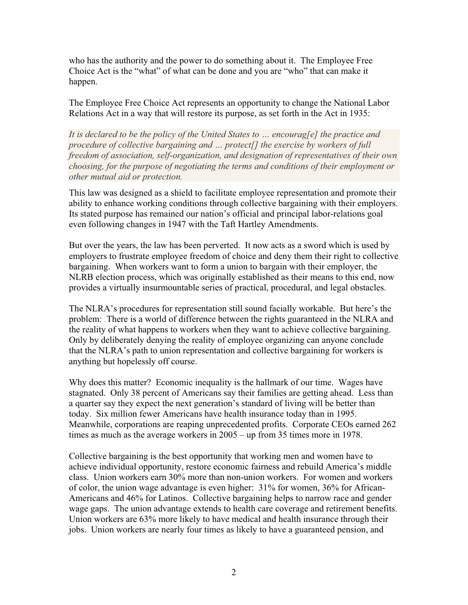who has the authority and the power to do something about it. The Employee Free Choice Act is the "what" of what can be done and you are "who" that can make it happen.

The Employee Free Choice Act represents an opportunity to change the National Labor Relations Act in a way that will restore its purpose, as set forth in the Act in 1935:

*It is declared to be the policy of the United States to … encourag[e] the practice and procedure of collective bargaining and … protect[] the exercise by workers of full freedom of association, self-organization, and designation of representatives of their own choosing, for the purpose of negotiating the terms and conditions of their employment or other mutual aid or protection.* 

This law was designed as a shield to facilitate employee representation and promote their ability to enhance working conditions through collective bargaining with their employers. Its stated purpose has remained our nation's official and principal labor-relations goal even following changes in 1947 with the Taft Hartley Amendments.

But over the years, the law has been perverted. It now acts as a sword which is used by employers to frustrate employee freedom of choice and deny them their right to collective bargaining. When workers want to form a union to bargain with their employer, the NLRB election process, which was originally established as their means to this end, now provides a virtually insurmountable series of practical, procedural, and legal obstacles.

The NLRA's procedures for representation still sound facially workable. But here's the problem: There is a world of difference between the rights guaranteed in the NLRA and the reality of what happens to workers when they want to achieve collective bargaining. Only by deliberately denying the reality of employee organizing can anyone conclude that the NLRA's path to union representation and collective bargaining for workers is anything but hopelessly off course.

Why does this matter? Economic inequality is the hallmark of our time. Wages have stagnated. Only 38 percent of Americans say their families are getting ahead. Less than a quarter say they expect the next generation's standard of living will be better than today. Six million fewer Americans have health insurance today than in 1995. Meanwhile, corporations are reaping unprecedented profits. Corporate CEOs earned 262 times as much as the average workers in 2005 – up from 35 times more in 1978.

Collective bargaining is the best opportunity that working men and women have to achieve individual opportunity, restore economic fairness and rebuild America's middle class. Union workers earn 30% more than non-union workers. For women and workers of color, the union wage advantage is even higher: 31% for women, 36% for African-Americans and 46% for Latinos. Collective bargaining helps to narrow race and gender wage gaps. The union advantage extends to health care coverage and retirement benefits. Union workers are 63% more likely to have medical and health insurance through their jobs. Union workers are nearly four times as likely to have a guaranteed pension, and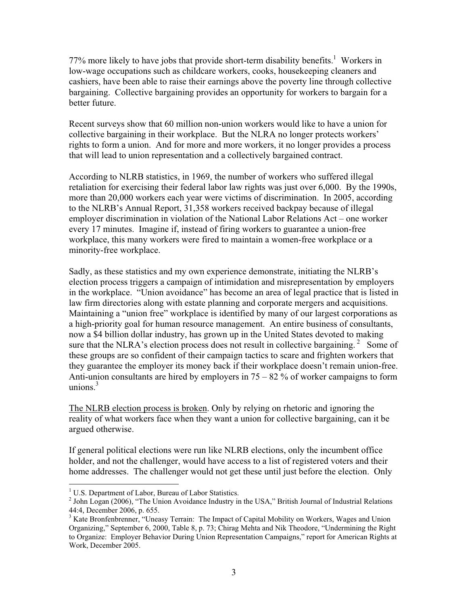77% more likely to have jobs that provide short-term disability benefits.<sup>1</sup> Workers in low-wage occupations such as childcare workers, cooks, housekeeping cleaners and cashiers, have been able to raise their earnings above the poverty line through collective bargaining. Collective bargaining provides an opportunity for workers to bargain for a better future.

Recent surveys show that 60 million non-union workers would like to have a union for collective bargaining in their workplace. But the NLRA no longer protects workers' rights to form a union. And for more and more workers, it no longer provides a process that will lead to union representation and a collectively bargained contract.

According to NLRB statistics, in 1969, the number of workers who suffered illegal retaliation for exercising their federal labor law rights was just over 6,000. By the 1990s, more than 20,000 workers each year were victims of discrimination. In 2005, according to the NLRB's Annual Report, 31,358 workers received backpay because of illegal employer discrimination in violation of the National Labor Relations Act – one worker every 17 minutes. Imagine if, instead of firing workers to guarantee a union-free workplace, this many workers were fired to maintain a women-free workplace or a minority-free workplace.

Sadly, as these statistics and my own experience demonstrate, initiating the NLRB's election process triggers a campaign of intimidation and misrepresentation by employers in the workplace. "Union avoidance" has become an area of legal practice that is listed in law firm directories along with estate planning and corporate mergers and acquisitions. Maintaining a "union free" workplace is identified by many of our largest corporations as a high-priority goal for human resource management. An entire business of consultants, now a \$4 billion dollar industry, has grown up in the United States devoted to making sure that the NLRA's election process does not result in collective bargaining.<sup>2</sup> Some of these groups are so confident of their campaign tactics to scare and frighten workers that they guarantee the employer its money back if their workplace doesn't remain union-free. Anti-union consultants are hired by employers in  $75 - 82$  % of worker campaigns to form unions. $3$ 

The NLRB election process is broken. Only by relying on rhetoric and ignoring the reality of what workers face when they want a union for collective bargaining, can it be argued otherwise.

If general political elections were run like NLRB elections, only the incumbent office holder, and not the challenger, would have access to a list of registered voters and their home addresses. The challenger would not get these until just before the election. Only

<sup>&</sup>lt;sup>1</sup> U.S. Department of Labor, Bureau of Labor Statistics.

 $2$  John Logan (2006), "The Union Avoidance Industry in the USA," British Journal of Industrial Relations 44:4, December 2006, p. 655.

<sup>&</sup>lt;sup>3</sup> Kate Bronfenbrenner, "Uneasy Terrain: The Impact of Capital Mobility on Workers, Wages and Union Organizing," September 6, 2000, Table 8, p. 73; Chirag Mehta and Nik Theodore, "Undermining the Right to Organize: Employer Behavior During Union Representation Campaigns," report for American Rights at Work, December 2005.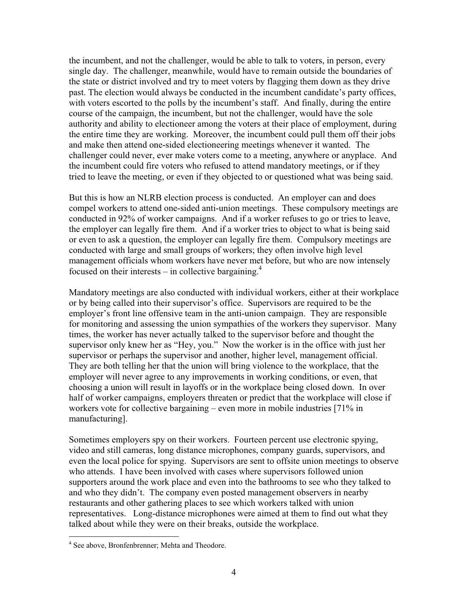the incumbent, and not the challenger, would be able to talk to voters, in person, every single day. The challenger, meanwhile, would have to remain outside the boundaries of the state or district involved and try to meet voters by flagging them down as they drive past. The election would always be conducted in the incumbent candidate's party offices, with voters escorted to the polls by the incumbent's staff. And finally, during the entire course of the campaign, the incumbent, but not the challenger, would have the sole authority and ability to electioneer among the voters at their place of employment, during the entire time they are working. Moreover, the incumbent could pull them off their jobs and make then attend one-sided electioneering meetings whenever it wanted. The challenger could never, ever make voters come to a meeting, anywhere or anyplace. And the incumbent could fire voters who refused to attend mandatory meetings, or if they tried to leave the meeting, or even if they objected to or questioned what was being said.

But this is how an NLRB election process is conducted. An employer can and does compel workers to attend one-sided anti-union meetings. These compulsory meetings are conducted in 92% of worker campaigns. And if a worker refuses to go or tries to leave, the employer can legally fire them. And if a worker tries to object to what is being said or even to ask a question, the employer can legally fire them. Compulsory meetings are conducted with large and small groups of workers; they often involve high level management officials whom workers have never met before, but who are now intensely focused on their interests – in collective bargaining.<sup>4</sup>

Mandatory meetings are also conducted with individual workers, either at their workplace or by being called into their supervisor's office. Supervisors are required to be the employer's front line offensive team in the anti-union campaign. They are responsible for monitoring and assessing the union sympathies of the workers they supervisor. Many times, the worker has never actually talked to the supervisor before and thought the supervisor only knew her as "Hey, you." Now the worker is in the office with just her supervisor or perhaps the supervisor and another, higher level, management official. They are both telling her that the union will bring violence to the workplace, that the employer will never agree to any improvements in working conditions, or even, that choosing a union will result in layoffs or in the workplace being closed down. In over half of worker campaigns, employers threaten or predict that the workplace will close if workers vote for collective bargaining – even more in mobile industries [71% in manufacturing].

Sometimes employers spy on their workers. Fourteen percent use electronic spying, video and still cameras, long distance microphones, company guards, supervisors, and even the local police for spying. Supervisors are sent to offsite union meetings to observe who attends. I have been involved with cases where supervisors followed union supporters around the work place and even into the bathrooms to see who they talked to and who they didn't. The company even posted management observers in nearby restaurants and other gathering places to see which workers talked with union representatives. Long-distance microphones were aimed at them to find out what they talked about while they were on their breaks, outside the workplace.

<sup>&</sup>lt;sup>4</sup> See above, Bronfenbrenner; Mehta and Theodore.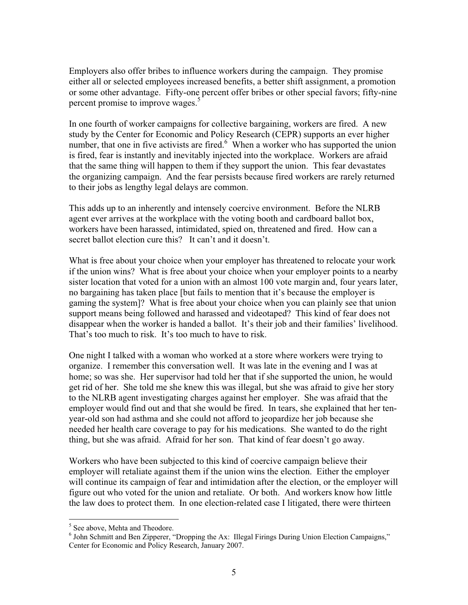Employers also offer bribes to influence workers during the campaign. They promise either all or selected employees increased benefits, a better shift assignment, a promotion or some other advantage. Fifty-one percent offer bribes or other special favors; fifty-nine percent promise to improve wages.<sup>5</sup>

In one fourth of worker campaigns for collective bargaining, workers are fired. A new study by the Center for Economic and Policy Research (CEPR) supports an ever higher number, that one in five activists are fired.<sup>6</sup> When a worker who has supported the union is fired, fear is instantly and inevitably injected into the workplace. Workers are afraid that the same thing will happen to them if they support the union. This fear devastates the organizing campaign. And the fear persists because fired workers are rarely returned to their jobs as lengthy legal delays are common.

This adds up to an inherently and intensely coercive environment. Before the NLRB agent ever arrives at the workplace with the voting booth and cardboard ballot box, workers have been harassed, intimidated, spied on, threatened and fired. How can a secret ballot election cure this? It can't and it doesn't.

What is free about your choice when your employer has threatened to relocate your work if the union wins? What is free about your choice when your employer points to a nearby sister location that voted for a union with an almost 100 vote margin and, four years later, no bargaining has taken place [but fails to mention that it's because the employer is gaming the system]? What is free about your choice when you can plainly see that union support means being followed and harassed and videotaped? This kind of fear does not disappear when the worker is handed a ballot. It's their job and their families' livelihood. That's too much to risk. It's too much to have to risk.

One night I talked with a woman who worked at a store where workers were trying to organize. I remember this conversation well. It was late in the evening and I was at home; so was she. Her supervisor had told her that if she supported the union, he would get rid of her. She told me she knew this was illegal, but she was afraid to give her story to the NLRB agent investigating charges against her employer. She was afraid that the employer would find out and that she would be fired. In tears, she explained that her tenyear-old son had asthma and she could not afford to jeopardize her job because she needed her health care coverage to pay for his medications. She wanted to do the right thing, but she was afraid. Afraid for her son. That kind of fear doesn't go away.

Workers who have been subjected to this kind of coercive campaign believe their employer will retaliate against them if the union wins the election. Either the employer will continue its campaign of fear and intimidation after the election, or the employer will figure out who voted for the union and retaliate. Or both. And workers know how little the law does to protect them. In one election-related case I litigated, there were thirteen

<sup>5</sup> See above, Mehta and Theodore.

<sup>&</sup>lt;sup>6</sup> John Schmitt and Ben Zipperer, "Dropping the Ax: Illegal Firings During Union Election Campaigns," Center for Economic and Policy Research, January 2007.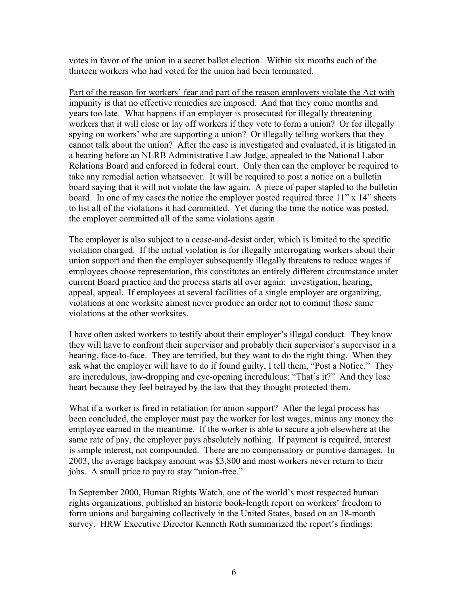votes in favor of the union in a secret ballot election. Within six months each of the thirteen workers who had voted for the union had been terminated.

Part of the reason for workers' fear and part of the reason employers violate the Act with impunity is that no effective remedies are imposed. And that they come months and years too late. What happens if an employer is prosecuted for illegally threatening workers that it will close or lay off workers if they vote to form a union? Or for illegally spying on workers' who are supporting a union? Or illegally telling workers that they cannot talk about the union? After the case is investigated and evaluated, it is litigated in a hearing before an NLRB Administrative Law Judge, appealed to the National Labor Relations Board and enforced in federal court. Only then can the employer be required to take any remedial action whatsoever. It will be required to post a notice on a bulletin board saying that it will not violate the law again. A piece of paper stapled to the bulletin board. In one of my cases the notice the employer posted required three 11" x 14" sheets to list all of the violations it had committed. Yet during the time the notice was posted, the employer committed all of the same violations again.

The employer is also subject to a cease-and-desist order, which is limited to the specific violation charged. If the initial violation is for illegally interrogating workers about their union support and then the employer subsequently illegally threatens to reduce wages if employees choose representation, this constitutes an entirely different circumstance under current Board practice and the process starts all over again: investigation, hearing, appeal, appeal. If employees at several facilities of a single employer are organizing, violations at one worksite almost never produce an order not to commit those same violations at the other worksites.

I have often asked workers to testify about their employer's illegal conduct. They know they will have to confront their supervisor and probably their supervisor's supervisor in a hearing, face-to-face. They are terrified, but they want to do the right thing. When they ask what the employer will have to do if found guilty, I tell them, "Post a Notice." They are incredulous, jaw-dropping and eye-opening incredulous: "That's it?" And they lose heart because they feel betrayed by the law that they thought protected them.

What if a worker is fired in retaliation for union support? After the legal process has been concluded, the employer must pay the worker for lost wages, minus any money the employee earned in the meantime. If the worker is able to secure a job elsewhere at the same rate of pay, the employer pays absolutely nothing. If payment is required, interest is simple interest, not compounded. There are no compensatory or punitive damages. In 2003, the average backpay amount was \$3,800 and most workers never return to their jobs. A small price to pay to stay "union-free."

In September 2000, Human Rights Watch, one of the world's most respected human rights organizations, published an historic book-length report on workers' freedom to form unions and bargaining collectively in the United States, based on an 18-month survey. HRW Executive Director Kenneth Roth summarized the report's findings: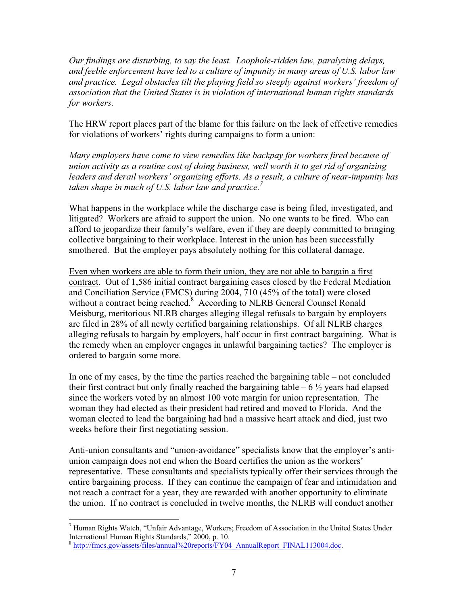*Our findings are disturbing, to say the least. Loophole-ridden law, paralyzing delays, and feeble enforcement have led to a culture of impunity in many areas of U.S. labor law and practice. Legal obstacles tilt the playing field so steeply against workers' freedom of association that the United States is in violation of international human rights standards for workers.* 

The HRW report places part of the blame for this failure on the lack of effective remedies for violations of workers' rights during campaigns to form a union:

*Many employers have come to view remedies like backpay for workers fired because of union activity as a routine cost of doing business, well worth it to get rid of organizing leaders and derail workers' organizing efforts. As a result, a culture of near-impunity has taken shape in much of U.S. labor law and practice.<sup>7</sup>*

What happens in the workplace while the discharge case is being filed, investigated, and litigated? Workers are afraid to support the union. No one wants to be fired. Who can afford to jeopardize their family's welfare, even if they are deeply committed to bringing collective bargaining to their workplace. Interest in the union has been successfully smothered. But the employer pays absolutely nothing for this collateral damage.

Even when workers are able to form their union, they are not able to bargain a first contract. Out of 1,586 initial contract bargaining cases closed by the Federal Mediation and Conciliation Service (FMCS) during 2004, 710 (45% of the total) were closed without a contract being reached.<sup>8</sup> According to NLRB General Counsel Ronald Meisburg, meritorious NLRB charges alleging illegal refusals to bargain by employers are filed in 28% of all newly certified bargaining relationships. Of all NLRB charges alleging refusals to bargain by employers, half occur in first contract bargaining. What is the remedy when an employer engages in unlawful bargaining tactics? The employer is ordered to bargain some more.

In one of my cases, by the time the parties reached the bargaining table – not concluded their first contract but only finally reached the bargaining table  $-6\frac{1}{2}$  years had elapsed since the workers voted by an almost 100 vote margin for union representation. The woman they had elected as their president had retired and moved to Florida. And the woman elected to lead the bargaining had had a massive heart attack and died, just two weeks before their first negotiating session.

Anti-union consultants and "union-avoidance" specialists know that the employer's antiunion campaign does not end when the Board certifies the union as the workers' representative. These consultants and specialists typically offer their services through the entire bargaining process. If they can continue the campaign of fear and intimidation and not reach a contract for a year, they are rewarded with another opportunity to eliminate the union. If no contract is concluded in twelve months, the NLRB will conduct another

<sup>7</sup> Human Rights Watch, "Unfair Advantage, Workers; Freedom of Association in the United States Under International Human Rights Standards," 2000, p. 10.

<sup>&</sup>lt;sup>8</sup> http://fmcs.gov/assets/files/annual%20reports/FY04\_AnnualReport\_FINAL113004.doc.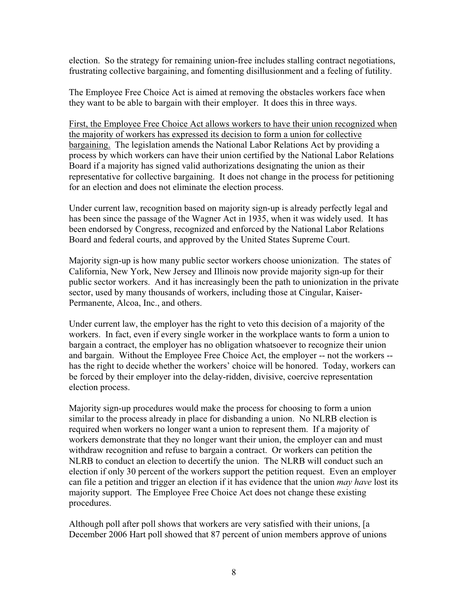election. So the strategy for remaining union-free includes stalling contract negotiations, frustrating collective bargaining, and fomenting disillusionment and a feeling of futility.

The Employee Free Choice Act is aimed at removing the obstacles workers face when they want to be able to bargain with their employer. It does this in three ways.

First, the Employee Free Choice Act allows workers to have their union recognized when the majority of workers has expressed its decision to form a union for collective bargaining. The legislation amends the National Labor Relations Act by providing a process by which workers can have their union certified by the National Labor Relations Board if a majority has signed valid authorizations designating the union as their representative for collective bargaining. It does not change in the process for petitioning for an election and does not eliminate the election process.

Under current law, recognition based on majority sign-up is already perfectly legal and has been since the passage of the Wagner Act in 1935, when it was widely used. It has been endorsed by Congress, recognized and enforced by the National Labor Relations Board and federal courts, and approved by the United States Supreme Court.

Majority sign-up is how many public sector workers choose unionization. The states of California, New York, New Jersey and Illinois now provide majority sign-up for their public sector workers. And it has increasingly been the path to unionization in the private sector, used by many thousands of workers, including those at Cingular, Kaiser-Permanente, Alcoa, Inc., and others.

Under current law, the employer has the right to veto this decision of a majority of the workers. In fact, even if every single worker in the workplace wants to form a union to bargain a contract, the employer has no obligation whatsoever to recognize their union and bargain. Without the Employee Free Choice Act, the employer -- not the workers - has the right to decide whether the workers' choice will be honored. Today, workers can be forced by their employer into the delay-ridden, divisive, coercive representation election process.

Majority sign-up procedures would make the process for choosing to form a union similar to the process already in place for disbanding a union. No NLRB election is required when workers no longer want a union to represent them. If a majority of workers demonstrate that they no longer want their union, the employer can and must withdraw recognition and refuse to bargain a contract. Or workers can petition the NLRB to conduct an election to decertify the union. The NLRB will conduct such an election if only 30 percent of the workers support the petition request. Even an employer can file a petition and trigger an election if it has evidence that the union *may have* lost its majority support. The Employee Free Choice Act does not change these existing procedures.

Although poll after poll shows that workers are very satisfied with their unions, [a December 2006 Hart poll showed that 87 percent of union members approve of unions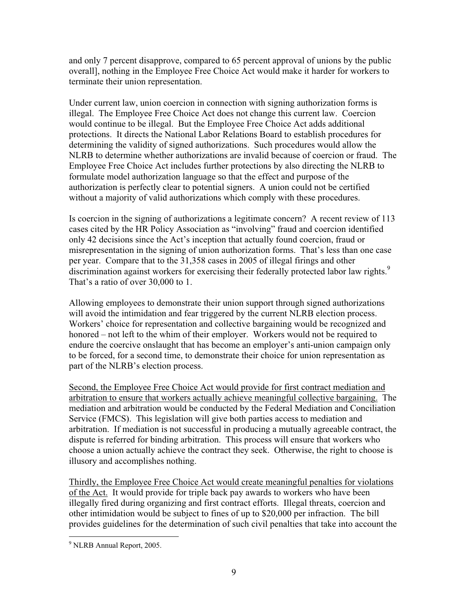and only 7 percent disapprove, compared to 65 percent approval of unions by the public overall], nothing in the Employee Free Choice Act would make it harder for workers to terminate their union representation.

Under current law, union coercion in connection with signing authorization forms is illegal. The Employee Free Choice Act does not change this current law. Coercion would continue to be illegal. But the Employee Free Choice Act adds additional protections. It directs the National Labor Relations Board to establish procedures for determining the validity of signed authorizations. Such procedures would allow the NLRB to determine whether authorizations are invalid because of coercion or fraud. The Employee Free Choice Act includes further protections by also directing the NLRB to formulate model authorization language so that the effect and purpose of the authorization is perfectly clear to potential signers. A union could not be certified without a majority of valid authorizations which comply with these procedures.

Is coercion in the signing of authorizations a legitimate concern? A recent review of 113 cases cited by the HR Policy Association as "involving" fraud and coercion identified only 42 decisions since the Act's inception that actually found coercion, fraud or misrepresentation in the signing of union authorization forms. That's less than one case per year. Compare that to the 31,358 cases in 2005 of illegal firings and other discrimination against workers for exercising their federally protected labor law rights.<sup>9</sup> That's a ratio of over 30,000 to 1.

Allowing employees to demonstrate their union support through signed authorizations will avoid the intimidation and fear triggered by the current NLRB election process. Workers' choice for representation and collective bargaining would be recognized and honored – not left to the whim of their employer. Workers would not be required to endure the coercive onslaught that has become an employer's anti-union campaign only to be forced, for a second time, to demonstrate their choice for union representation as part of the NLRB's election process.

Second, the Employee Free Choice Act would provide for first contract mediation and arbitration to ensure that workers actually achieve meaningful collective bargaining. The mediation and arbitration would be conducted by the Federal Mediation and Conciliation Service (FMCS). This legislation will give both parties access to mediation and arbitration. If mediation is not successful in producing a mutually agreeable contract, the dispute is referred for binding arbitration. This process will ensure that workers who choose a union actually achieve the contract they seek. Otherwise, the right to choose is illusory and accomplishes nothing.

Thirdly, the Employee Free Choice Act would create meaningful penalties for violations of the Act. It would provide for triple back pay awards to workers who have been illegally fired during organizing and first contract efforts. Illegal threats, coercion and other intimidation would be subject to fines of up to \$20,000 per infraction. The bill provides guidelines for the determination of such civil penalties that take into account the

<sup>&</sup>lt;sup>9</sup> NLRB Annual Report, 2005.